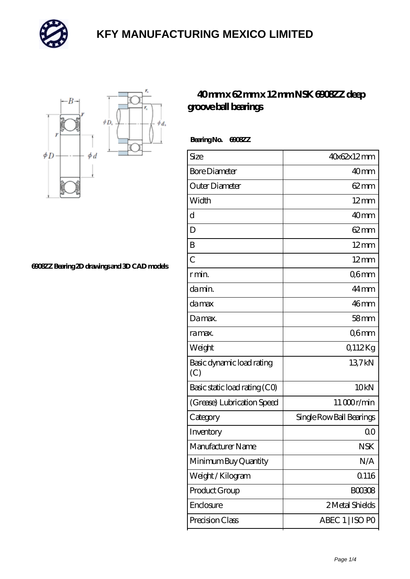



**[6908ZZ Bearing 2D drawings and 3D CAD models](https://mailemotion.tv/pic-412947.html)**

#### **[40 mm x 62 mm x 12 mm NSK 6908ZZ deep](https://mailemotion.tv/at-412947-nsk-6908zz-deep-groove-ball-bearings.html) [groove ball bearings](https://mailemotion.tv/at-412947-nsk-6908zz-deep-groove-ball-bearings.html)**

 **Bearing No. 6908ZZ**

| Size                             | 40x62x12mm               |
|----------------------------------|--------------------------|
| <b>Bore Diameter</b>             | 40 <sub>mm</sub>         |
| Outer Diameter                   | $62 \text{mm}$           |
| Width                            | $12 \text{mm}$           |
| d                                | 40 <sub>mm</sub>         |
| D                                | $62 \text{mm}$           |
| B                                | $12 \text{mm}$           |
| $\overline{C}$                   | $12 \text{mm}$           |
| r min.                           | Q6mm                     |
| da min.                          | 44 <sub>mm</sub>         |
| damax                            | 46mm                     |
| Damax.                           | 58 <sub>mm</sub>         |
| ra max.                          | Q6mm                     |
| Weight                           | 0,112Kg                  |
| Basic dynamic load rating<br>(C) | 13.7kN                   |
| Basic static load rating (CO)    | 10 <sub>kN</sub>         |
| (Grease) Lubrication Speed       | 11000r/min               |
| Category                         | Single Row Ball Bearings |
| Inventory                        | 0 <sup>0</sup>           |
| Manufacturer Name                | <b>NSK</b>               |
| Minimum Buy Quantity             | N/A                      |
| Weight/Kilogram                  | <b>Q116</b>              |
| Product Group                    | <b>BOO3O8</b>            |
| Enclosure                        | 2 Metal Shields          |
| Precision Class                  | ABEC 1   ISO PO          |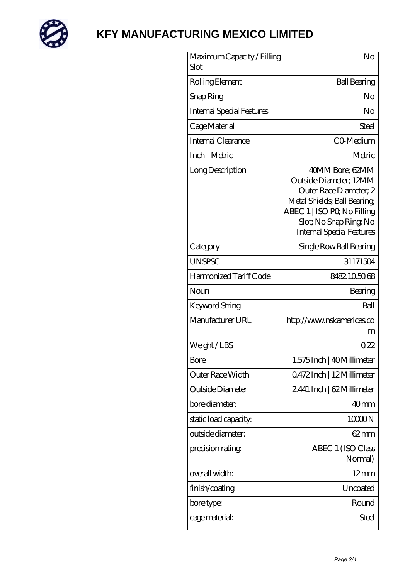

| Maximum Capacity / Filling<br>Slot | No                                                                                                                                                                                             |
|------------------------------------|------------------------------------------------------------------------------------------------------------------------------------------------------------------------------------------------|
| Rolling Element                    | <b>Ball Bearing</b>                                                                                                                                                                            |
| Snap Ring                          | No                                                                                                                                                                                             |
| <b>Internal Special Features</b>   | No                                                                                                                                                                                             |
| Cage Material                      | Steel                                                                                                                                                                                          |
| Internal Clearance                 | CO-Medium                                                                                                                                                                                      |
| Inch - Metric                      | Metric                                                                                                                                                                                         |
| Long Description                   | 40MM Bore; 62MM<br>Outside Diameter; 12MM<br>Outer Race Diameter; 2<br>Metal Shields; Ball Bearing;<br>ABEC 1   ISO PQ No Filling<br>Slot; No Snap Ring No<br><b>Internal Special Features</b> |
| Category                           | Single Row Ball Bearing                                                                                                                                                                        |
| <b>UNSPSC</b>                      | 31171504                                                                                                                                                                                       |
| Harmonized Tariff Code             | 8482105068                                                                                                                                                                                     |
| Noun                               | Bearing                                                                                                                                                                                        |
| <b>Keyword String</b>              | Ball                                                                                                                                                                                           |
| Manufacturer URL                   | http://www.nskamericas.co<br>m                                                                                                                                                                 |
| Weight / LBS                       | 0.22                                                                                                                                                                                           |
| Bore                               | 1.575 Inch   40 Millimeter                                                                                                                                                                     |
| Outer Race Width                   | 0472Inch   12Millimeter                                                                                                                                                                        |
| Outside Diameter                   | 2.441 Inch   62 Millimeter                                                                                                                                                                     |
| bore diameter:                     | 40mm                                                                                                                                                                                           |
| static load capacity.              | 10000N                                                                                                                                                                                         |
| outside diameter:                  | $62 \text{mm}$                                                                                                                                                                                 |
| precision rating                   | ABEC 1 (ISO Class<br>Normal)                                                                                                                                                                   |
| overall width:                     | $12 \text{mm}$                                                                                                                                                                                 |
| finish/coating                     | Uncoated                                                                                                                                                                                       |
| bore type:                         | Round                                                                                                                                                                                          |
| cage material:                     | Steel                                                                                                                                                                                          |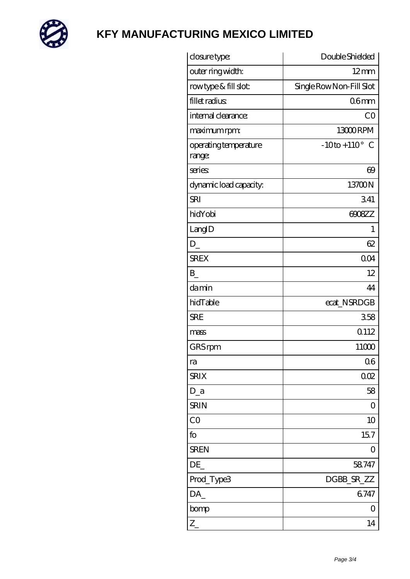

| closure type:                   | Double Shielded            |
|---------------------------------|----------------------------|
| outer ring width:               | $12 \text{mm}$             |
| rowtype & fill slot:            | Single Row Non-Fill Slot   |
| fillet radius                   | 06 <sub>mm</sub>           |
| internal clearance:             | CO                         |
| maximum rpm:                    | 13000RPM                   |
| operating temperature<br>range: | $-10$ to + $110^{\circ}$ C |
| series                          | 69                         |
| dynamic load capacity.          | 13700N                     |
| <b>SRI</b>                      | 341                        |
| hidYobi                         | 6908ZZ                     |
| LangID                          | 1                          |
| D                               | 62                         |
| <b>SREX</b>                     | 0 <sub>O</sub> 4           |
| B                               | 12                         |
| damin                           | 44                         |
| hidTable                        | ecat_NSRDGB                |
| <b>SRE</b>                      | 358                        |
| mass                            | 0.112                      |
| GRS rpm                         | 11000                      |
| ra                              | 06                         |
| <b>SRIX</b>                     | 002                        |
| $D_a$                           | 58                         |
| <b>SRIN</b>                     | $\overline{O}$             |
| CO                              | 10                         |
| fo                              | 157                        |
| <b>SREN</b>                     | $\overline{O}$             |
| DE                              | 58747                      |
| Prod_Type3                      | DGBB_SR_ZZ                 |
| DA_                             | 6747                       |
| bomp                            | 0                          |
| $Z_{-}$                         | 14                         |